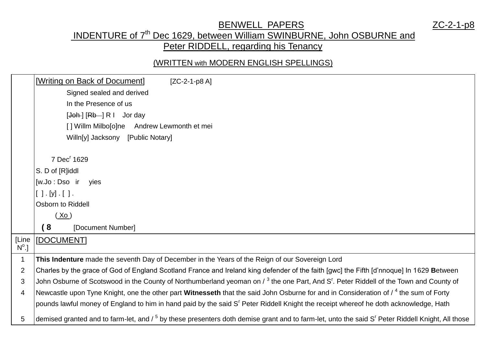### BENWELL PAPERS ZC-2-1-p8

## INDENTURE of 7<sup>th</sup> Dec 1629, between William SWINBURNE, John OSBURNE and Peter RIDDELL, regarding his Tenancy

#### (WRITTEN with MODERN ENGLISH SPELLINGS)

|                | [Writing on Back of Document]<br>$[ZC-2-1-p8A]$                                                                                                                         |
|----------------|-------------------------------------------------------------------------------------------------------------------------------------------------------------------------|
|                | Signed sealed and derived                                                                                                                                               |
|                | In the Presence of us                                                                                                                                                   |
|                | $[Joh] [Rb]$ $R$ $I$ $Jor$ day                                                                                                                                          |
|                | [] Willm Milbo[o]ne Andrew Lewmonth et mei                                                                                                                              |
|                | Willn[y] Jacksony [Public Notary]                                                                                                                                       |
|                |                                                                                                                                                                         |
|                | 7 Dec <sup>r</sup> 1629                                                                                                                                                 |
|                | S. D of [R]iddl                                                                                                                                                         |
|                | [w.Jo : Dso ir<br>yies                                                                                                                                                  |
|                | $[ ] . [y] . [ ]$ .                                                                                                                                                     |
|                | Osborn to Riddell                                                                                                                                                       |
|                | (Xo)                                                                                                                                                                    |
|                | 8<br>[Document Number]                                                                                                                                                  |
| [Line          | [DOCUMENT]                                                                                                                                                              |
| $N^{\circ}.$   |                                                                                                                                                                         |
| $\mathbf 1$    | This Indenture made the seventh Day of December in the Years of the Reign of our Sovereign Lord                                                                         |
| $\overline{2}$ | Charles by the grace of God of England Scotland France and Ireland king defender of the faith [gwc] the Fifth [d'nnoque] In 1629 Between                                |
| 3              | John Osburne of Scotswood in the County of Northumberland yeoman on / 3 the one Part, And S'. Peter Riddell of the Town and County of                                   |
| $\overline{4}$ | Newcastle upon Tyne Knight, one the other part Witnesseth that the said John Osburne for and in Consideration of / <sup>4</sup> the sum of Forty                        |
|                | pounds lawful money of England to him in hand paid by the said S' Peter Riddell Knight the receipt whereof he doth acknowledge, Hath                                    |
| 5              | demised granted and to farm-let, and / <sup>5</sup> by these presenters doth demise grant and to farm-let, unto the said S <sup>r</sup> Peter Riddell Knight, All those |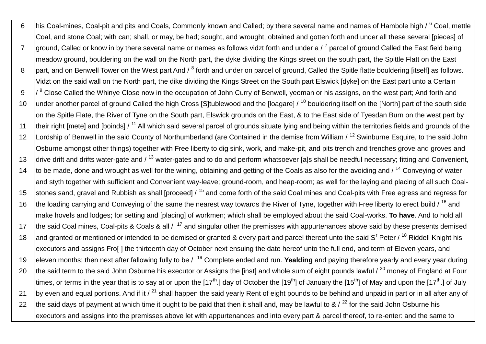6 his Coal-mines, Coal-pit and pits and Coals, Commonly known and Called; by there several name and names of Hambole high / <sup>6</sup> Coal, mettle Coal, and stone Coal; with can; shall, or may, be had; sought, and wrought, obtained and gotten forth and under all these several [pieces] of 7  $\,$  ground, Called or know in by there several name or names as follows vidzt forth and under a /  $^7$  parcel of ground Called the East field being meadow ground, bouldering on the wall on the North part, the dyke dividing the Kings street on the south part, the Spittle Flatt on the East 8 | part, and on Benwell Tower on the West part And / <sup>8</sup> forth and under on parcel of ground, Called the Spitle flatte bouldering [itself] as follows. Vidzt on the said wall on the North part, the dike dividing the Kings Street on the South part Elswick [dyke] on the East part unto a Certain 9 / 9 Close Called the Whinye Close now in the occupation of John Curry of Benwell, yeoman or his assigns, on the west part; And forth and 10 under another parcel of ground Called the high Cross [S]tublewood and the [loagare]  $/10$  bouldering itself on the [North] part of the south side on the Spitle Flate, the River of Tyne on the South part, Elswick grounds on the East, & to the East side of Tyesdan Burn on the west part by 11 their right [mete] and [boinds] / <sup>11</sup> All which said several parcel of grounds situate lying and being within the territories fields and grounds of the 12 | Lordship of Benwell in the said County of Northumberland (are Contained in the demise from William / <sup>12</sup> Swinburne Esquire, to the said John Osburne amongst other things) together with Free liberty to dig sink, work, and make-pit, and pits trench and trenches grove and groves and 13 drive drift and drifts water-gate and  $\ell^{13}$  water-gates and to do and perform whatsoever [a]s shall be needful necessary; fitting and Convenient, 14 to be made, done and wrought as well for the wining, obtaining and getting of the Coals as also for the avoiding and  $1^{14}$  Conveying of water and styth together with sufficient and Convenient way-leave; ground-room, and heap-room; as well for the laying and placing of all such Coal-15 stones sand, gravel and Rubbish as shall [proceed] / <sup>15</sup> and come forth of the said Coal mines and Coal-pits with Free egress and regress for 16 the loading carrying and Conveying of the same the nearest way towards the River of Tyne, together with Free liberty to erect build /  $^{16}$  and make hovels and lodges; for setting and [placing] of workmen; which shall be employed about the said Coal-works. **To have**. And to hold all 17 the said Coal mines, Coal-pits & Coals & all  $/17$  and singular other the premisses with appurtenances above said by these presents demised 18 and granted or mentioned or intended to be demised or granted & every part and parcel thereof unto the said S<sup>r</sup> Peter / <sup>18</sup> Riddell Knight his executors and assigns Fro[] the thirteenth day of October next ensuing the date hereof unto the full end, and term of Eleven years, and 19 eleven months; then next after fallowing fully to be / <sup>19</sup> Complete ended and run. **Yealding** and paying therefore yearly and every year during 20 the said term to the said John Osburne his executor or Assigns the [inst] and whole sum of eight pounds lawful  $\ell^{20}$  money of England at Four times, or terms in the year that is to say at or upon the [17<sup>th</sup>.] day of October the [19<sup>th</sup>] of January the [15<sup>th</sup>] of May and upon the [17<sup>th</sup>.] of July 21 by even and equal portions. And if it  $\ell^{21}$  shall happen the said yearly Rent of eight pounds to be behind and unpaid in part or in all after any of 22 the said days of payment at which time it ought to be paid that then it shall and, may be lawful to &  $/22$  for the said John Osburne his executors and assigns into the premisses above let with appurtenances and into every part & parcel thereof, to re-enter: and the same to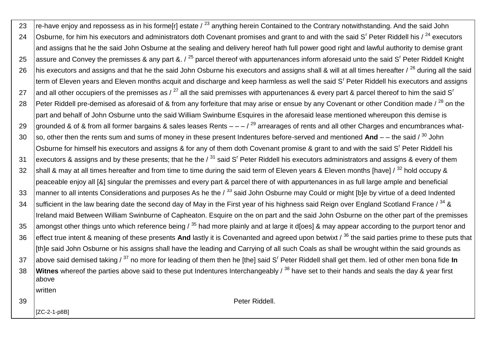| 23 | re-have enjoy and repossess as in his forme[r] estate / <sup>23</sup> anything herein Contained to the Contrary notwithstanding. And the said John                  |
|----|---------------------------------------------------------------------------------------------------------------------------------------------------------------------|
| 24 | Osburne, for him his executors and administrators doth Covenant promises and grant to and with the said S <sup>r</sup> Peter Riddell his / <sup>24</sup> executors  |
|    | and assigns that he the said John Osburne at the sealing and delivery hereof hath full power good right and lawful authority to demise grant                        |
| 25 | assure and Convey the premisses & any part & . / <sup>25</sup> parcel thereof with appurtenances inform aforesaid unto the said S <sup>r</sup> Peter Riddell Knight |
| 26 | his executors and assigns and that he the said John Osburne his executors and assigns shall & will at all times hereafter / <sup>26</sup> during all the said       |
|    | term of Eleven years and Eleven months acquit and discharge and keep harmless as well the said S <sup>r</sup> Peter Riddell his executors and assigns               |
| 27 | and all other occupiers of the premisses as / $^{27}$ all the said premisses with appurtenances & every part & parcel thereof to him the said S <sup>r</sup>        |
| 28 | Peter Riddell pre-demised as aforesaid of & from any forfeiture that may arise or ensue by any Covenant or other Condition made / <sup>28</sup> on the              |
|    | part and behalf of John Osburne unto the said William Swinburne Esquires in the aforesaid lease mentioned whereupon this demise is                                  |
| 29 | grounded & of & from all former bargains & sales leases Rents $- -$ / $^{29}$ arrearages of rents and all other Charges and encumbrances what-                      |
| 30 | so, other then the rents sum and sums of money in these present Indentures before-served and mentioned And $-$ – the said / $^{30}$ John                            |
|    | Osburne for himself his executors and assigns & for any of them doth Covenant promise & grant to and with the said S <sup>r</sup> Peter Riddell his                 |
| 31 | executors & assigns and by these presents; that he the $\ell^{31}$ said S <sup>r</sup> Peter Riddell his executors administrators and assigns & every of them       |
| 32 | shall & may at all times hereafter and from time to time during the said term of Eleven years & Eleven months [have] / <sup>32</sup> hold occupy &                  |
|    | peaceable enjoy all [&] singular the premisses and every part & parcel there of with appurtenances in as full large ample and beneficial                            |
| 33 | manner to all intents Considerations and purposes As he the $\lambda^{33}$ said John Osburne may Could or might [b]e by virtue of a deed Indented                   |
| 34 | sufficient in the law bearing date the second day of May in the First year of his highness said Reign over England Scotland France / 34 &                           |
|    | Ireland maid Between William Swinburne of Capheaton. Esquire on the on part and the said John Osburne on the other part of the premisses                            |
| 35 | amongst other things unto which reference being $\frac{35}{10}$ had more plainly and at large it d[oes] & may appear according to the purport tenor and             |
| 36 | effect true intent & meaning of these presents And lastly it is Covenanted and agreed upon betwixt / 36 the said parties prime to these puts that                   |
|    | [th]e said John Osburne or his assigns shall have the leading and Carrying of all such Coals as shall be wrought within the said grounds as                         |
| 37 | above said demised taking / 37 no more for leading of them then he [the] said S' Peter Riddell shall get them. led of other men bona fide In                        |
| 38 | Witnes whereof the parties above said to these put Indentures Interchangeably / 38 have set to their hands and seals the day & year first<br>above                  |
|    | written                                                                                                                                                             |
| 39 | Peter Riddell.                                                                                                                                                      |
|    | [ZC-2-1-p8B]                                                                                                                                                        |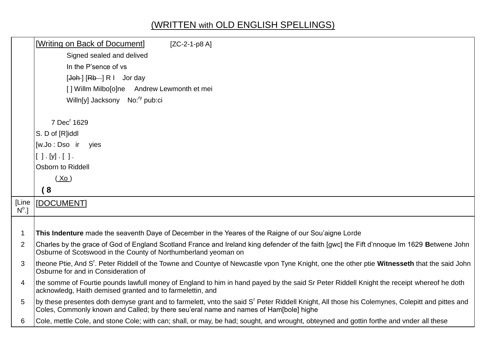# (WRITTEN with OLD ENGLISH SPELLINGS)

|                | [Writing on Back of Document]<br>$[ZC-2-1-p8A]$                                                                                                                                                                                         |
|----------------|-----------------------------------------------------------------------------------------------------------------------------------------------------------------------------------------------------------------------------------------|
|                | Signed sealed and delived                                                                                                                                                                                                               |
|                | In the P'sence of vs                                                                                                                                                                                                                    |
|                | $\left[\frac{\text{Joh}}{\text{H}}\right]\left[\frac{\text{Rb}}{\text{H}}\right]$ R I Jorday                                                                                                                                            |
|                | [] Willm Milbo[o]ne Andrew Lewmonth et mei                                                                                                                                                                                              |
|                | Willn[y] Jacksony No: <sup>ry</sup> pub:ci                                                                                                                                                                                              |
|                |                                                                                                                                                                                                                                         |
|                | 7 Dec <sup>r</sup> 1629                                                                                                                                                                                                                 |
|                | S. D of [R]iddl                                                                                                                                                                                                                         |
|                | [w.Jo : Dso ir<br>yies                                                                                                                                                                                                                  |
|                | [ ] . [y] . [ ] .                                                                                                                                                                                                                       |
|                | Osborn to Riddell                                                                                                                                                                                                                       |
|                | (X <sub>0</sub> )                                                                                                                                                                                                                       |
|                | (8)                                                                                                                                                                                                                                     |
| [Line          | [DOCUMENT]                                                                                                                                                                                                                              |
| $N^{\circ}.$   |                                                                                                                                                                                                                                         |
|                |                                                                                                                                                                                                                                         |
| $\mathbf 1$    | This Indenture made the seaventh Daye of December in the Yeares of the Raigne of our Sou'aigne Lorde                                                                                                                                    |
| 2              | Charles by the grace of God of England Scotland France and Ireland king defender of the faith [gwc] the Fift d'nnoque Im 1629 Betwene John<br>Osburne of Scotswood in the County of Northumberland yeoman on                            |
| 3              | theone Ptie, And S'. Peter Riddell of the Towne and Countye of Newcastle vpon Tyne Knight, one the other ptie Witnesseth that the said John<br>Osburne for and in Consideration of                                                      |
| $\overline{4}$ | the somme of Fourtie pounds lawfull money of England to him in hand payed by the said Sr Peter Riddell Knight the receipt whereof he doth<br>acknowledg, Haith demised granted and to farmelettin, and                                  |
| 5              | by these presentes doth demyse grant and to farmelett, vnto the said S' Peter Riddell Knight, All those his Colemynes, Colepitt and pittes and<br>Coles, Commonly known and Called; by there seu'eral name and names of Ham[bole] highe |
| 6              | Cole, mettle Cole, and stone Cole; with can; shall, or may, be had; sought, and wrought, obteyned and gottin forthe and vnder all these                                                                                                 |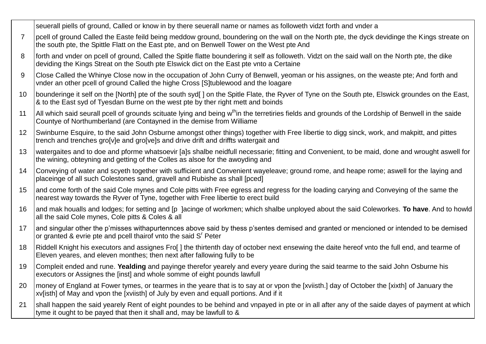|                | seuerall piells of ground, Called or know in by there seuerall name or names as followeth vidzt forth and vnder a                                                                                                                          |  |
|----------------|--------------------------------------------------------------------------------------------------------------------------------------------------------------------------------------------------------------------------------------------|--|
| $\overline{7}$ | pcell of ground Called the Easte feild being meddow ground, boundering on the wall on the North pte, the dyck devidinge the Kings streate on<br>the south pte, the Spittle Flatt on the East pte, and on Benwell Tower on the West pte And |  |
| 8              | forth and vnder on pcell of ground, Called the Spitle flatte boundering it self as followeth. Vidzt on the said wall on the North pte, the dike<br>deviding the Kings Streat on the South pte Elswick dict on the East pte vnto a Certaine |  |
| 9              | Close Called the Whinye Close now in the occupation of John Curry of Benwell, yeoman or his assignes, on the weaste pte; And forth and<br>vnder an other pcell of ground Called the highe Cross [S]tublewood and the loagare               |  |
| 10             | bounderinge it self on the [North] pte of the south syd[] on the Spitle Flate, the Ryver of Tyne on the South pte, Elswick groundes on the East,<br>& to the East syd of Tyesdan Burne on the west pte by ther right mett and boinds       |  |
| 11             | All which said seurall pcell of grounds scituate lying and being w <sup>th</sup> in the terretiries fields and grounds of the Lordship of Benwell in the saide<br>Countye of Northumberland (are Contayned in the demise from Williame     |  |
| 12             | Swinburne Esquire, to the said John Osburne amongst other things) together with Free libertie to digg sinck, work, and makpitt, and pittes<br>trench and trenches gro[v]e and gro[ve]s and drive drift and driffts watergait and           |  |
| 13             | watergaites and to doe and pforme whatsoevir [a]s shalbe neidfull necessarie; fitting and Convenient, to be maid, done and wrought aswell for<br>the wining, obteyning and getting of the Colles as alsoe for the awoyding and             |  |
| 14             | Conveying of water and scyeth together with sufficient and Convenient wayeleave; ground rome, and heape rome; aswell for the laying and<br>placeinge of all such Colestones sand, gravell and Rubishe as shall [pced]                      |  |
| 15             | and come forth of the said Cole mynes and Cole pitts with Free egress and regress for the loading carying and Conveying of the same the<br>nearest way towards the Ryver of Tyne, together with Free libertie to erect build               |  |
| 16             | and mak houalls and lodges; for setting and [p ]acinge of workmen; which shalbe unployed about the said Coleworkes. To have. And to howld<br>all the said Cole mynes, Cole pitts & Coles & all                                             |  |
| 17             | and singular other the p'misses withapurtennces above said by thess p'sentes demised and granted or mencioned or intended to be demised<br>or granted & evrie pte and pcell thairof vnto the said S <sup>r</sup> Peter                     |  |
| 18             | Riddell Knight his executors and assignes Fro[] the thirtenth day of october next ensewing the daite hereof vnto the full end, and tearme of<br>Eleven yeares, and eleven monthes; then next after fallowing fully to be                   |  |
| 19             | Compleit ended and rune. Yealding and payinge therefor yearely and every yeare during the said tearme to the said John Osburne his<br>executors or Assignes the [inst] and whole somme of eight pounds lawfull                             |  |
| 20             | money of England at Fower tymes, or tearmes in the yeare that is to say at or vpon the [xviisth.] day of October the [xixth] of January the<br>xy[isth] of May and vpon the [xviisth] of July by even and equall portions. And if it       |  |
| 21             | shall happen the said yearely Rent of eight poundes to be behind and vnpayed in pte or in all after any of the saide dayes of payment at which<br>tyme it ought to be payed that then it shall and, may be lawfull to &                    |  |
|                |                                                                                                                                                                                                                                            |  |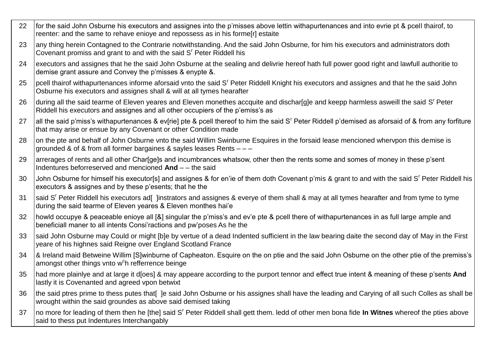- 22 for the said John Osburne his executors and assignes into the p'misses above lettin withapurtenances and into evrie pt & pcell thairof, to reenter: and the same to rehave enioye and repossess as in his forme[r] estaite any thing herein Contagned to the Contrarie notwithstanding. And the said John Osburne, for him his executors and administrators doth 23 Covenant promiss and grant to and with the said S<sup>r</sup> Peter Riddell his executors and assignes that he the said John Osburne at the sealing and delivrie hereof hath full power good right and lawfull authoritie to  $24$ demise grant assure and Convey the p'misses & enypte &. pcell thairof withapurtenances informe aforsaid vnto the said S<sup>r</sup> Peter Riddell Knight his executors and assignes and that he the said John 25 Osburne his executors and assignes shall & will at all tymes hearafter during all the said tearme of Eleven yeares and Eleven monethes accquite and dischar[q]e and keepp harmless asweill the said S' Peter 26 Riddell his executors and assignes and all other occupiers of the p'emiss's as 27 all the said p'miss's withapurtenances & ev[rie] pte & pcell thereof to him the said S<sup>r</sup> Peter Riddell p'demised as aforsaid of & from any forfiture that may arise or ensue by any Covenant or other Condition made on the pte and behalf of John Osburne vnto the said Willim Swinburne Esquires in the forsaid lease mencioned whervpon this demise is 28 grounded & of & from all former bargaines & sayles leases Rents - - arrerages of rents and all other Charlgels and incumbrances whatsow, other then the rents some and somes of money in these p'sent 29 Indentures beforreserved and mencioned And - - the said
	- John Osburne for himself his executor[s] and assignes & for en'ie of them doth Covenant p'mis & grant to and with the said S' Peter Riddell his  $30<sub>2</sub>$ executors & assignes and by these p'esents; that he the
	- Isaid S' Peter Riddell his executors ad llinstrators and assignes & everve of them shall & may at all tymes hearafter and from tyme to tyme  $31$ during the said tearme of Eleven yeares & Eleven monthes hai'e
	- howld occupye & peaceable enioye all [&] singular the p'miss's and ev'e pte & pcell there of withapurtenances in as full large ample and 32 beneficiall maner to all intents Consi'ractions and pw'poses As he the
	- 33 said John Osburne may Could or might [b]e by vertue of a dead Indented sufficient in the law bearing daite the second day of May in the First yeare of his highnes said Reigne over England Scotland France
- 8 Ireland maid Betweine Willim [S]winburne of Capheaton. Esquire on the on ptie and the said John Osburne on the other ptie of the premiss's 34 amongst other things vnto w<sup>c</sup>h refferrence beinge
- had more plainlye and at large it dloes] & may appeare according to the purport tennor and effect true intent & meaning of these p'sents And 35 lastly it is Covenanted and agreed vpon betwixt
- the said ptres prime to thess putes that Je said John Osburne or his assignes shall have the leading and Carying of all such Colles as shall be 36 wrought within the said groundes as above said demised taking
- Ino more for leading of them then he Ithel said S<sup>r</sup> Peter Riddell shall gett them. ledd of other men bona fide **In Witnes** whereof the pties above 37 said to thess put Indentures Interchangably